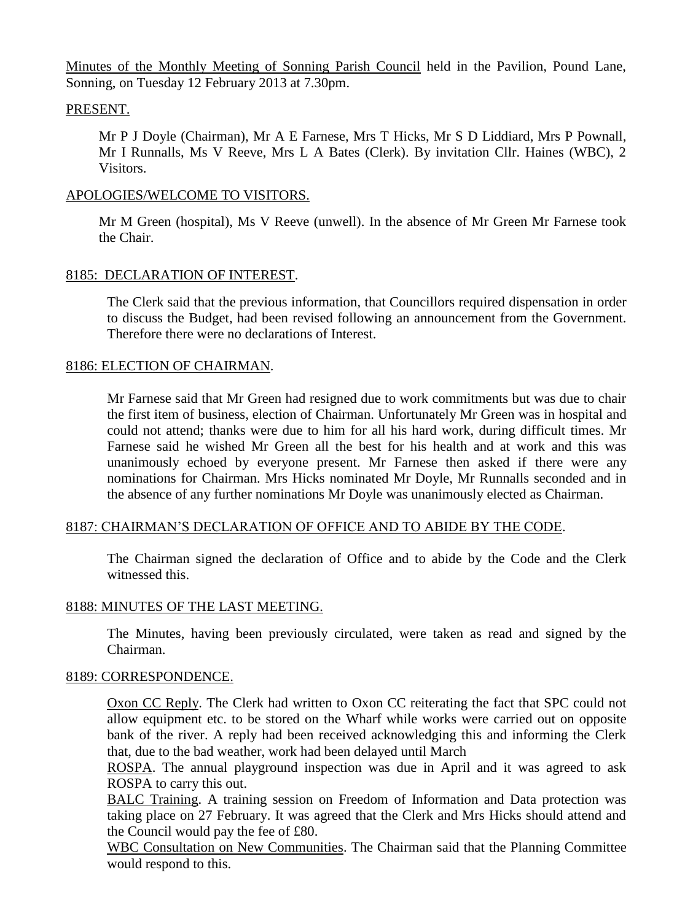Minutes of the Monthly Meeting of Sonning Parish Council held in the Pavilion, Pound Lane, Sonning, on Tuesday 12 February 2013 at 7.30pm.

# PRESENT.

Mr P J Doyle (Chairman), Mr A E Farnese, Mrs T Hicks, Mr S D Liddiard, Mrs P Pownall, Mr I Runnalls, Ms V Reeve, Mrs L A Bates (Clerk). By invitation Cllr. Haines (WBC), 2 Visitors.

#### APOLOGIES/WELCOME TO VISITORS.

Mr M Green (hospital), Ms V Reeve (unwell). In the absence of Mr Green Mr Farnese took the Chair.

#### 8185: DECLARATION OF INTEREST.

The Clerk said that the previous information, that Councillors required dispensation in order to discuss the Budget, had been revised following an announcement from the Government. Therefore there were no declarations of Interest.

#### 8186: ELECTION OF CHAIRMAN.

Mr Farnese said that Mr Green had resigned due to work commitments but was due to chair the first item of business, election of Chairman. Unfortunately Mr Green was in hospital and could not attend; thanks were due to him for all his hard work, during difficult times. Mr Farnese said he wished Mr Green all the best for his health and at work and this was unanimously echoed by everyone present. Mr Farnese then asked if there were any nominations for Chairman. Mrs Hicks nominated Mr Doyle, Mr Runnalls seconded and in the absence of any further nominations Mr Doyle was unanimously elected as Chairman.

# 8187: CHAIRMAN'S DECLARATION OF OFFICE AND TO ABIDE BY THE CODE.

The Chairman signed the declaration of Office and to abide by the Code and the Clerk witnessed this.

# 8188: MINUTES OF THE LAST MEETING.

The Minutes, having been previously circulated, were taken as read and signed by the Chairman.

#### 8189: CORRESPONDENCE.

Oxon CC Reply. The Clerk had written to Oxon CC reiterating the fact that SPC could not allow equipment etc. to be stored on the Wharf while works were carried out on opposite bank of the river. A reply had been received acknowledging this and informing the Clerk that, due to the bad weather, work had been delayed until March

ROSPA. The annual playground inspection was due in April and it was agreed to ask ROSPA to carry this out.

BALC Training. A training session on Freedom of Information and Data protection was taking place on 27 February. It was agreed that the Clerk and Mrs Hicks should attend and the Council would pay the fee of £80.

WBC Consultation on New Communities. The Chairman said that the Planning Committee would respond to this.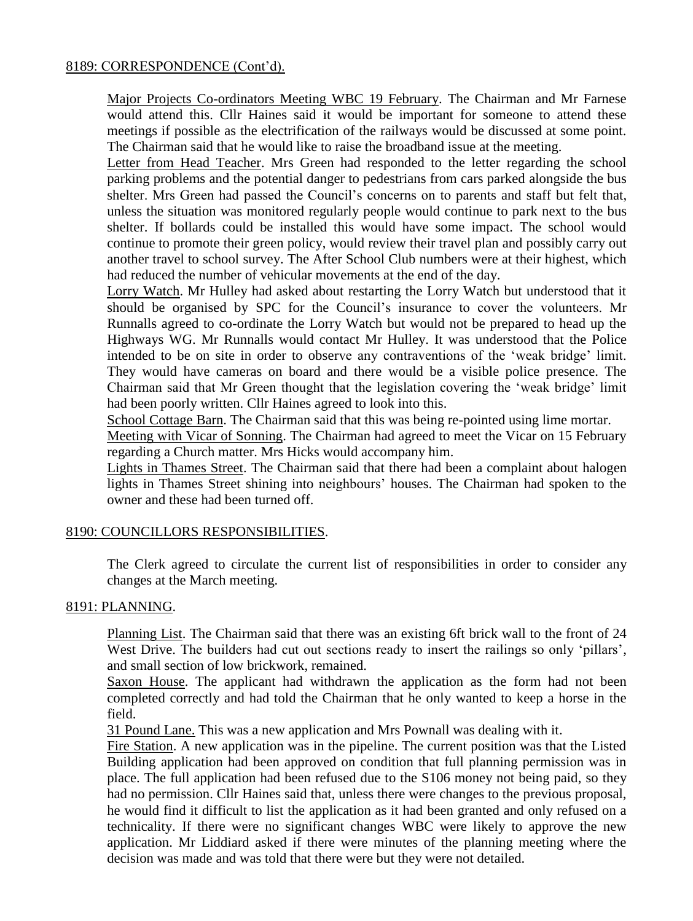# 8189: CORRESPONDENCE (Cont'd).

Major Projects Co-ordinators Meeting WBC 19 February. The Chairman and Mr Farnese would attend this. Cllr Haines said it would be important for someone to attend these meetings if possible as the electrification of the railways would be discussed at some point. The Chairman said that he would like to raise the broadband issue at the meeting.

Letter from Head Teacher. Mrs Green had responded to the letter regarding the school parking problems and the potential danger to pedestrians from cars parked alongside the bus shelter. Mrs Green had passed the Council's concerns on to parents and staff but felt that, unless the situation was monitored regularly people would continue to park next to the bus shelter. If bollards could be installed this would have some impact. The school would continue to promote their green policy, would review their travel plan and possibly carry out another travel to school survey. The After School Club numbers were at their highest, which had reduced the number of vehicular movements at the end of the day.

Lorry Watch. Mr Hulley had asked about restarting the Lorry Watch but understood that it should be organised by SPC for the Council's insurance to cover the volunteers. Mr Runnalls agreed to co-ordinate the Lorry Watch but would not be prepared to head up the Highways WG. Mr Runnalls would contact Mr Hulley. It was understood that the Police intended to be on site in order to observe any contraventions of the 'weak bridge' limit. They would have cameras on board and there would be a visible police presence. The Chairman said that Mr Green thought that the legislation covering the 'weak bridge' limit had been poorly written. Cllr Haines agreed to look into this.

School Cottage Barn. The Chairman said that this was being re-pointed using lime mortar.

Meeting with Vicar of Sonning. The Chairman had agreed to meet the Vicar on 15 February regarding a Church matter. Mrs Hicks would accompany him.

Lights in Thames Street. The Chairman said that there had been a complaint about halogen lights in Thames Street shining into neighbours' houses. The Chairman had spoken to the owner and these had been turned off.

# 8190: COUNCILLORS RESPONSIBILITIES.

The Clerk agreed to circulate the current list of responsibilities in order to consider any changes at the March meeting.

#### 8191: PLANNING.

Planning List. The Chairman said that there was an existing 6ft brick wall to the front of 24 West Drive. The builders had cut out sections ready to insert the railings so only 'pillars', and small section of low brickwork, remained.

Saxon House. The applicant had withdrawn the application as the form had not been completed correctly and had told the Chairman that he only wanted to keep a horse in the field.

31 Pound Lane. This was a new application and Mrs Pownall was dealing with it.

Fire Station. A new application was in the pipeline. The current position was that the Listed Building application had been approved on condition that full planning permission was in place. The full application had been refused due to the S106 money not being paid, so they had no permission. Cllr Haines said that, unless there were changes to the previous proposal, he would find it difficult to list the application as it had been granted and only refused on a technicality. If there were no significant changes WBC were likely to approve the new application. Mr Liddiard asked if there were minutes of the planning meeting where the decision was made and was told that there were but they were not detailed.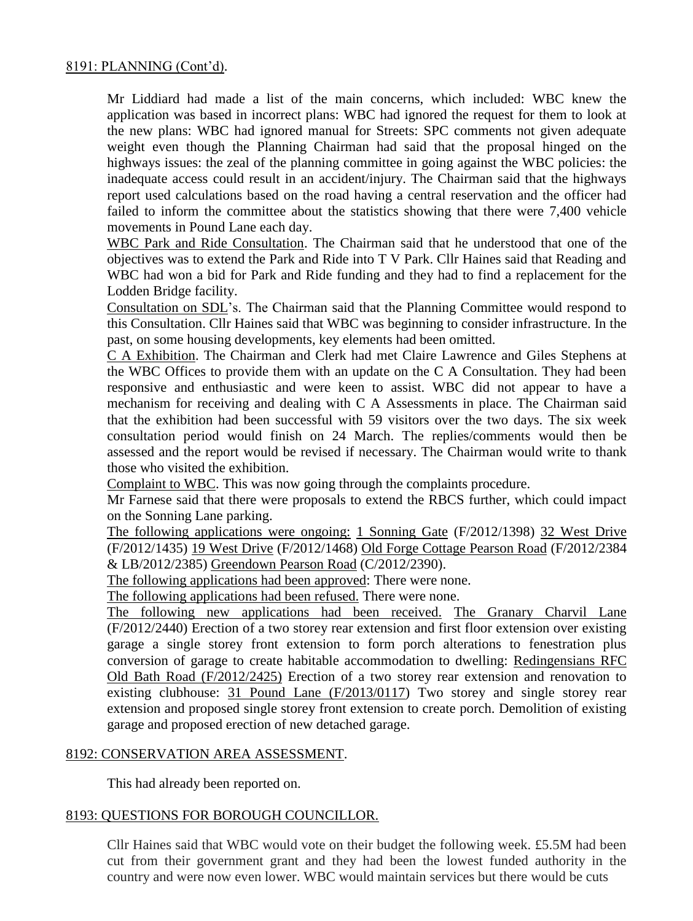Mr Liddiard had made a list of the main concerns, which included: WBC knew the application was based in incorrect plans: WBC had ignored the request for them to look at the new plans: WBC had ignored manual for Streets: SPC comments not given adequate weight even though the Planning Chairman had said that the proposal hinged on the highways issues: the zeal of the planning committee in going against the WBC policies: the inadequate access could result in an accident/injury. The Chairman said that the highways report used calculations based on the road having a central reservation and the officer had failed to inform the committee about the statistics showing that there were 7,400 vehicle movements in Pound Lane each day.

WBC Park and Ride Consultation. The Chairman said that he understood that one of the objectives was to extend the Park and Ride into T V Park. Cllr Haines said that Reading and WBC had won a bid for Park and Ride funding and they had to find a replacement for the Lodden Bridge facility.

Consultation on SDL's. The Chairman said that the Planning Committee would respond to this Consultation. Cllr Haines said that WBC was beginning to consider infrastructure. In the past, on some housing developments, key elements had been omitted.

C A Exhibition. The Chairman and Clerk had met Claire Lawrence and Giles Stephens at the WBC Offices to provide them with an update on the C A Consultation. They had been responsive and enthusiastic and were keen to assist. WBC did not appear to have a mechanism for receiving and dealing with C A Assessments in place. The Chairman said that the exhibition had been successful with 59 visitors over the two days. The six week consultation period would finish on 24 March. The replies/comments would then be assessed and the report would be revised if necessary. The Chairman would write to thank those who visited the exhibition.

Complaint to WBC. This was now going through the complaints procedure.

Mr Farnese said that there were proposals to extend the RBCS further, which could impact on the Sonning Lane parking.

The following applications were ongoing: 1 Sonning Gate (F/2012/1398) 32 West Drive (F/2012/1435) 19 West Drive (F/2012/1468) Old Forge Cottage Pearson Road (F/2012/2384 & LB/2012/2385) Greendown Pearson Road (C/2012/2390).

The following applications had been approved: There were none.

The following applications had been refused. There were none.

The following new applications had been received. The Granary Charvil Lane (F/2012/2440) Erection of a two storey rear extension and first floor extension over existing garage a single storey front extension to form porch alterations to fenestration plus conversion of garage to create habitable accommodation to dwelling: Redingensians RFC Old Bath Road (F/2012/2425) Erection of a two storey rear extension and renovation to existing clubhouse: 31 Pound Lane (F/2013/0117) Two storey and single storey rear extension and proposed single storey front extension to create porch. Demolition of existing garage and proposed erection of new detached garage.

# 8192: CONSERVATION AREA ASSESSMENT.

This had already been reported on.

# 8193: QUESTIONS FOR BOROUGH COUNCILLOR.

Cllr Haines said that WBC would vote on their budget the following week. £5.5M had been cut from their government grant and they had been the lowest funded authority in the country and were now even lower. WBC would maintain services but there would be cuts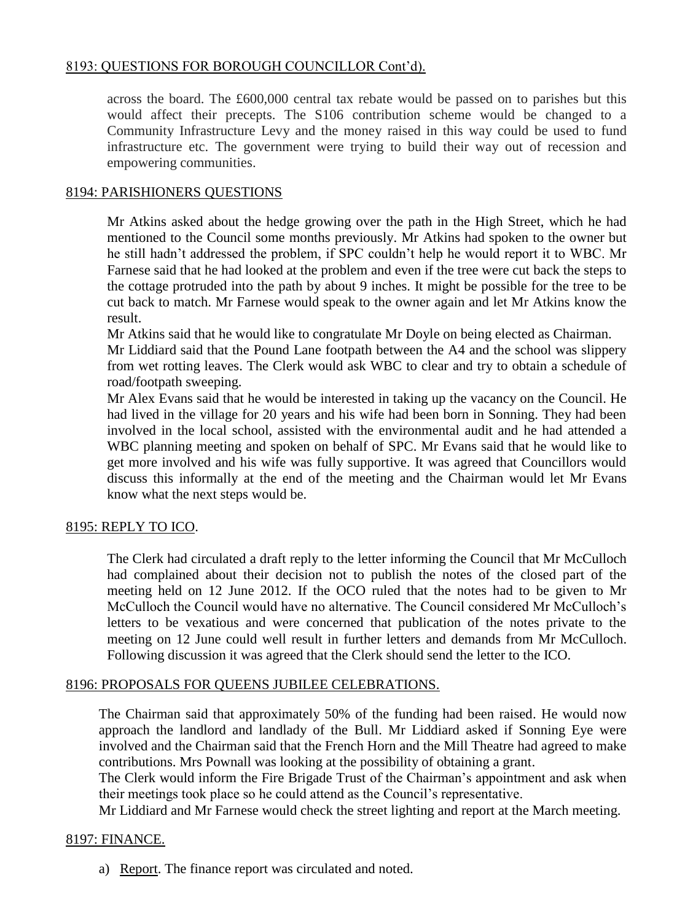# 8193: QUESTIONS FOR BOROUGH COUNCILLOR Cont'd).

across the board. The £600,000 central tax rebate would be passed on to parishes but this would affect their precepts. The S106 contribution scheme would be changed to a Community Infrastructure Levy and the money raised in this way could be used to fund infrastructure etc. The government were trying to build their way out of recession and empowering communities.

# 8194: PARISHIONERS QUESTIONS

Mr Atkins asked about the hedge growing over the path in the High Street, which he had mentioned to the Council some months previously. Mr Atkins had spoken to the owner but he still hadn't addressed the problem, if SPC couldn't help he would report it to WBC. Mr Farnese said that he had looked at the problem and even if the tree were cut back the steps to the cottage protruded into the path by about 9 inches. It might be possible for the tree to be cut back to match. Mr Farnese would speak to the owner again and let Mr Atkins know the result.

Mr Atkins said that he would like to congratulate Mr Doyle on being elected as Chairman.

Mr Liddiard said that the Pound Lane footpath between the A4 and the school was slippery from wet rotting leaves. The Clerk would ask WBC to clear and try to obtain a schedule of road/footpath sweeping.

Mr Alex Evans said that he would be interested in taking up the vacancy on the Council. He had lived in the village for 20 years and his wife had been born in Sonning. They had been involved in the local school, assisted with the environmental audit and he had attended a WBC planning meeting and spoken on behalf of SPC. Mr Evans said that he would like to get more involved and his wife was fully supportive. It was agreed that Councillors would discuss this informally at the end of the meeting and the Chairman would let Mr Evans know what the next steps would be.

# 8195: REPLY TO ICO.

The Clerk had circulated a draft reply to the letter informing the Council that Mr McCulloch had complained about their decision not to publish the notes of the closed part of the meeting held on 12 June 2012. If the OCO ruled that the notes had to be given to Mr McCulloch the Council would have no alternative. The Council considered Mr McCulloch's letters to be vexatious and were concerned that publication of the notes private to the meeting on 12 June could well result in further letters and demands from Mr McCulloch. Following discussion it was agreed that the Clerk should send the letter to the ICO.

# 8196: PROPOSALS FOR QUEENS JUBILEE CELEBRATIONS.

The Chairman said that approximately 50% of the funding had been raised. He would now approach the landlord and landlady of the Bull. Mr Liddiard asked if Sonning Eye were involved and the Chairman said that the French Horn and the Mill Theatre had agreed to make contributions. Mrs Pownall was looking at the possibility of obtaining a grant.

The Clerk would inform the Fire Brigade Trust of the Chairman's appointment and ask when their meetings took place so he could attend as the Council's representative.

Mr Liddiard and Mr Farnese would check the street lighting and report at the March meeting.

# 8197: FINANCE.

a) Report. The finance report was circulated and noted.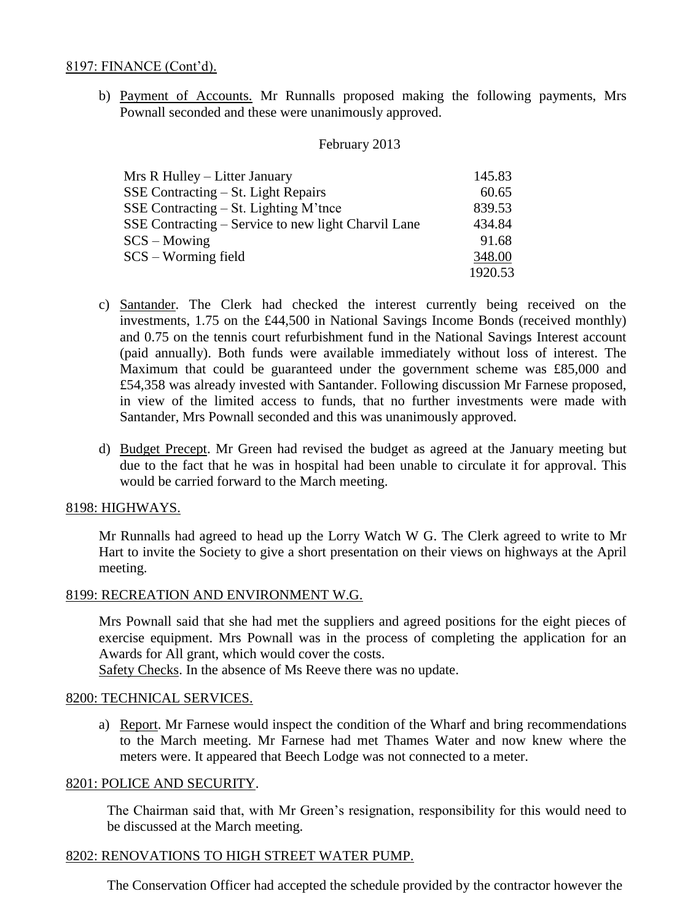#### 8197: FINANCE (Cont'd).

b) Payment of Accounts. Mr Runnalls proposed making the following payments, Mrs Pownall seconded and these were unanimously approved.

#### February 2013

| Mrs R Hulley – Litter January                       | 145.83  |
|-----------------------------------------------------|---------|
| SSE Contracting – St. Light Repairs                 | 60.65   |
| SSE Contracting $-$ St. Lighting M'tnce             | 839.53  |
| SSE Contracting – Service to new light Charvil Lane | 434.84  |
| $SCS - Moving$                                      | 91.68   |
| $SCS - Worming field$                               | 348.00  |
|                                                     | 1920.53 |

- c) Santander. The Clerk had checked the interest currently being received on the investments, 1.75 on the £44,500 in National Savings Income Bonds (received monthly) and 0.75 on the tennis court refurbishment fund in the National Savings Interest account (paid annually). Both funds were available immediately without loss of interest. The Maximum that could be guaranteed under the government scheme was £85,000 and £54,358 was already invested with Santander. Following discussion Mr Farnese proposed, in view of the limited access to funds, that no further investments were made with Santander, Mrs Pownall seconded and this was unanimously approved.
- d) Budget Precept. Mr Green had revised the budget as agreed at the January meeting but due to the fact that he was in hospital had been unable to circulate it for approval. This would be carried forward to the March meeting.

#### 8198: HIGHWAYS.

Mr Runnalls had agreed to head up the Lorry Watch W G. The Clerk agreed to write to Mr Hart to invite the Society to give a short presentation on their views on highways at the April meeting.

# 8199: RECREATION AND ENVIRONMENT W.G.

Mrs Pownall said that she had met the suppliers and agreed positions for the eight pieces of exercise equipment. Mrs Pownall was in the process of completing the application for an Awards for All grant, which would cover the costs.

Safety Checks. In the absence of Ms Reeve there was no update.

# 8200: TECHNICAL SERVICES.

a) Report. Mr Farnese would inspect the condition of the Wharf and bring recommendations to the March meeting. Mr Farnese had met Thames Water and now knew where the meters were. It appeared that Beech Lodge was not connected to a meter.

#### 8201: POLICE AND SECURITY.

The Chairman said that, with Mr Green's resignation, responsibility for this would need to be discussed at the March meeting.

#### 8202: RENOVATIONS TO HIGH STREET WATER PUMP.

The Conservation Officer had accepted the schedule provided by the contractor however the